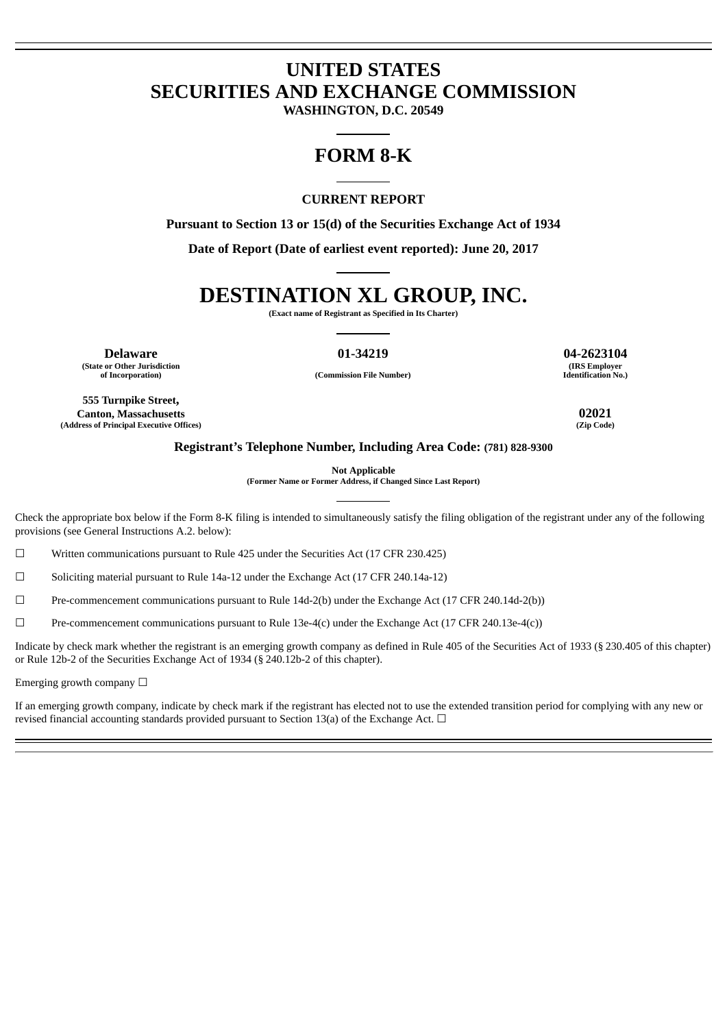## **UNITED STATES SECURITIES AND EXCHANGE COMMISSION**

**WASHINGTON, D.C. 20549**

### **FORM 8-K**

### **CURRENT REPORT**

**Pursuant to Section 13 or 15(d) of the Securities Exchange Act of 1934**

**Date of Report (Date of earliest event reported): June 20, 2017**

# **DESTINATION XL GROUP, INC.**

**(Exact name of Registrant as Specified in Its Charter)**

**Delaware 01-34219 04-2623104 (State or Other Jurisdiction of Incorporation) (Commission File Number)**

**(IRS Employer Identification No.)**

**555 Turnpike Street, Canton, Massachusetts 02021 (Address of Principal Executive Offices)** 

#### **Registrant's Telephone Number, Including Area Code: (781) 828-9300**

**Not Applicable**

**(Former Name or Former Address, if Changed Since Last Report)**

Check the appropriate box below if the Form 8-K filing is intended to simultaneously satisfy the filing obligation of the registrant under any of the following provisions (see General Instructions A.2. below):

☐ Written communications pursuant to Rule 425 under the Securities Act (17 CFR 230.425)

 $\Box$  Soliciting material pursuant to Rule 14a-12 under the Exchange Act (17 CFR 240.14a-12)

☐ Pre-commencement communications pursuant to Rule 14d-2(b) under the Exchange Act (17 CFR 240.14d-2(b))

 $\Box$  Pre-commencement communications pursuant to Rule 13e-4(c) under the Exchange Act (17 CFR 240.13e-4(c))

Indicate by check mark whether the registrant is an emerging growth company as defined in Rule 405 of the Securities Act of 1933 (§ 230.405 of this chapter) or Rule 12b-2 of the Securities Exchange Act of 1934 (§ 240.12b-2 of this chapter).

Emerging growth company  $\Box$ 

If an emerging growth company, indicate by check mark if the registrant has elected not to use the extended transition period for complying with any new or revised financial accounting standards provided pursuant to Section 13(a) of the Exchange Act.  $\Box$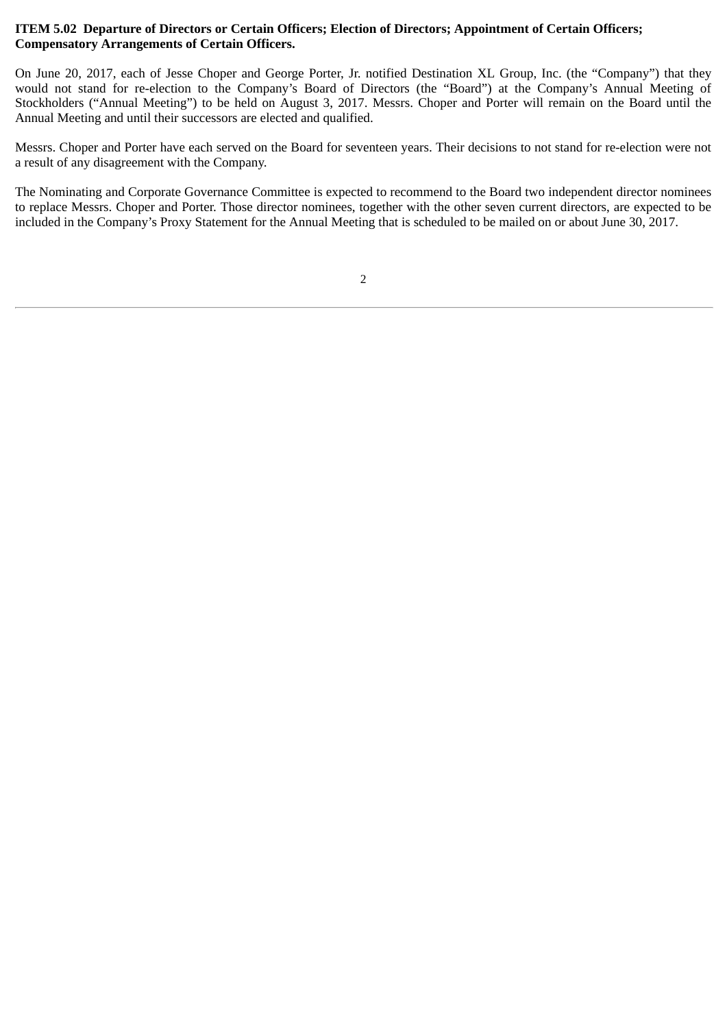### **ITEM 5.02 Departure of Directors or Certain Officers; Election of Directors; Appointment of Certain Officers; Compensatory Arrangements of Certain Officers.**

On June 20, 2017, each of Jesse Choper and George Porter, Jr. notified Destination XL Group, Inc. (the "Company") that they would not stand for re-election to the Company's Board of Directors (the "Board") at the Company's Annual Meeting of Stockholders ("Annual Meeting") to be held on August 3, 2017. Messrs. Choper and Porter will remain on the Board until the Annual Meeting and until their successors are elected and qualified.

Messrs. Choper and Porter have each served on the Board for seventeen years. Their decisions to not stand for re-election were not a result of any disagreement with the Company.

The Nominating and Corporate Governance Committee is expected to recommend to the Board two independent director nominees to replace Messrs. Choper and Porter. Those director nominees, together with the other seven current directors, are expected to be included in the Company's Proxy Statement for the Annual Meeting that is scheduled to be mailed on or about June 30, 2017.

<sup>2</sup>